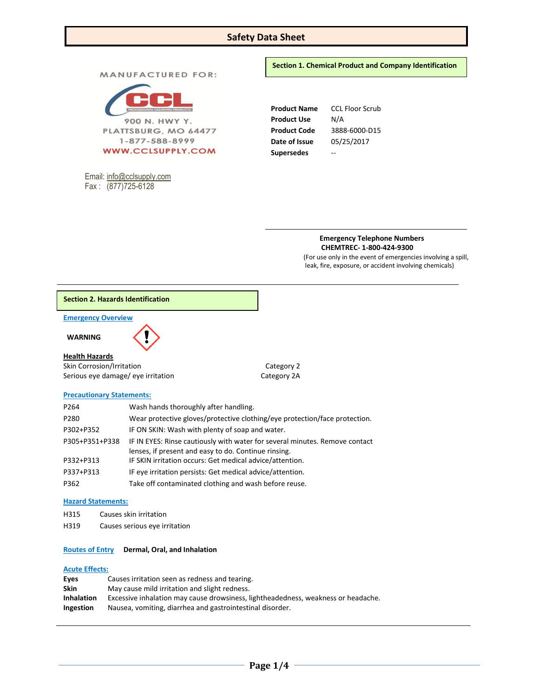# **Safety Data Sheet**

**MANUFACTURED FOR:** 



Email[: info@cclsupply.com](mailto:info@cclsupply.com) Fax : (877)725-6128

**Section 1. Chemical Product and Company Identification** 

**Product Name** CCL Floor Scrub **Product Use** N/A **Product Code** 3888-6000-D15 **Date of Issue** 05/25/2017 **Supersedes** --

> **Emergency Telephone Numbers CHEMTREC- 1-800-424-9300**

(For use only in the event of emergencies involving a spill, leak, fire, exposure, or accident involving chemicals)

# **Section 2. Hazards Identification**

**Emergency Overview** 

 **WARNING** 

## **Health Hazards**

Skin Corrosion/Irritation Category 2 Serious eye damage/ eye irritation Category 2A

### **Precautionary Statements:**

| P264           | Wash hands thoroughly after handling.                                       |
|----------------|-----------------------------------------------------------------------------|
| P280           | Wear protective gloves/protective clothing/eye protection/face protection.  |
| P302+P352      | IF ON SKIN: Wash with plenty of soap and water.                             |
| P305+P351+P338 | IF IN EYES: Rinse cautiously with water for several minutes. Remove contact |
|                | lenses, if present and easy to do. Continue rinsing.                        |
| P332+P313      | IF SKIN irritation occurs: Get medical advice/attention.                    |
| P337+P313      | IF eye irritation persists: Get medical advice/attention.                   |
| P362           | Take off contaminated clothing and wash before reuse.                       |

### **Hazard Statements:**

- H315 Causes skin irritation
- H319 Causes serious eye irritation

# **Routes of Entry Dermal, Oral, and Inhalation**

# **Acute Effects:**

| Eves              | Causes irritation seen as redness and tearing.                                    |
|-------------------|-----------------------------------------------------------------------------------|
| <b>Skin</b>       | May cause mild irritation and slight redness.                                     |
| <b>Inhalation</b> | Excessive inhalation may cause drowsiness, lightheadedness, weakness or headache. |
| Ingestion         | Nausea, vomiting, diarrhea and gastrointestinal disorder.                         |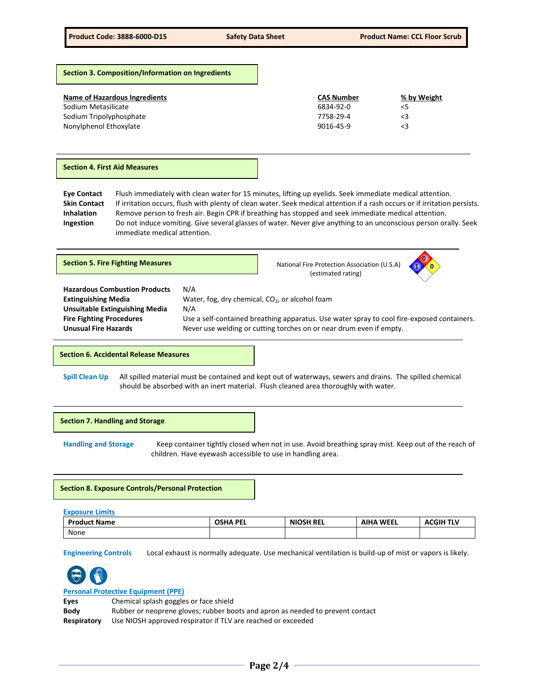**Section 3. Composition/Information on Ingredients**

| Name of Hazardous Ingredients | <b>CAS Number</b> | % by Weight |
|-------------------------------|-------------------|-------------|
| Sodium Metasilicate           | 6834-92-0         | <5          |
| Sodium Tripolyphosphate       | 7758-29-4         | <3          |
| Nonylphenol Ethoxylate        | 9016-45-9         | $\leq$ 3    |

#### **Section 4. First Aid Measures**

**Eye Contact** Flush immediately with clean water for 15 minutes, lifting up eyelids. Seek immediate medical attention. **Skin Contact** If irritation occurs, flush with plenty of clean water. Seek medical attention if a rash occurs or if irritation persists. **Inhalation** Remove person to fresh air. Begin CPR if breathing has stopped and seek immediate medical attention. **Ingestion** Do not induce vomiting. Give several glasses of water. Never give anything to an unconscious person orally. Seek immediate medical attention.

| <b>Section 5. Fire Fighting Measures</b>                                                                                                                                      |                                                                           | National Fire Protection Association (U.S.A)<br>(estimated rating)                                                                                                |  |
|-------------------------------------------------------------------------------------------------------------------------------------------------------------------------------|---------------------------------------------------------------------------|-------------------------------------------------------------------------------------------------------------------------------------------------------------------|--|
| <b>Hazardous Combustion Products</b><br><b>Extinguishing Media</b><br><b>Unsuitable Extinguishing Media</b><br><b>Fire Fighting Procedures</b><br><b>Unusual Fire Hazards</b> | N/A<br>Water, fog, dry chemical, CO <sub>2</sub> , or alcohol foam<br>N/A | Use a self-contained breathing apparatus. Use water spray to cool fire-exposed containers.<br>Never use welding or cutting torches on or near drum even if empty. |  |

#### **Section 6. Accidental Release Measures**

**Spill Clean Up** All spilled material must be contained and kept out of waterways, sewers and drains. The spilled chemical should be absorbed with an inert material. Flush cleaned area thoroughly with water.



**Handling and Storage** Keep container tightly closed when not in use. Avoid breathing spray mist. Keep out of the reach of children. Have eyewash accessible to use in handling area.

## **Section 8. Exposure Controls/Personal Protection**

| <b>Exposure Limits</b> |                 |           |                  |                  |
|------------------------|-----------------|-----------|------------------|------------------|
| <b>Product Name</b>    | <b>OSHA PEL</b> | NIOSH REL | <b>AIHA WEEL</b> | <b>ACGIH TLV</b> |
| None                   |                 |           |                  |                  |

**Engineering Controls** Local exhaust is normally adequate. Use mechanical ventilation is build-up of mist or vapors is likely.



# **Personal Protective Equipment (PPE)**

**Eyes** Chemical splash goggles or face shield

**Body** Rubber or neoprene gloves; rubber boots and apron as needed to prevent contact

**Respiratory** Use NIOSH approved respirator if TLV are reached or exceeded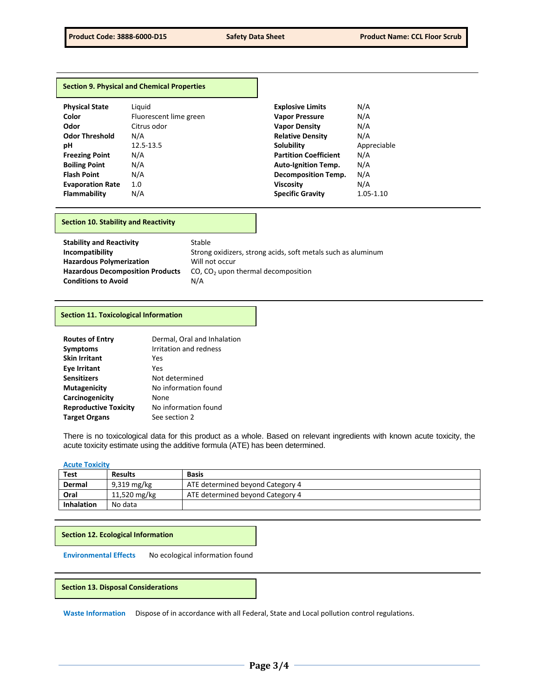|                         | <b>Section 9. Physical and Chemical Properties</b> |                              |             |
|-------------------------|----------------------------------------------------|------------------------------|-------------|
| <b>Physical State</b>   | Liguid                                             | <b>Explosive Limits</b>      | N/A         |
| Color                   | Fluorescent lime green                             | <b>Vapor Pressure</b>        | N/A         |
| Odor                    | Citrus odor                                        | <b>Vapor Density</b>         | N/A         |
| <b>Odor Threshold</b>   | N/A                                                | <b>Relative Density</b>      | N/A         |
| рH                      | 12.5-13.5                                          | <b>Solubility</b>            | Appreciable |
| <b>Freezing Point</b>   | N/A                                                | <b>Partition Coefficient</b> | N/A         |
| <b>Boiling Point</b>    | N/A                                                | <b>Auto-Ignition Temp.</b>   | N/A         |
| <b>Flash Point</b>      | N/A                                                | <b>Decomposition Temp.</b>   | N/A         |
| <b>Evaporation Rate</b> | 1.0                                                | <b>Viscosity</b>             | N/A         |
| <b>Flammability</b>     | N/A                                                | <b>Specific Gravity</b>      | 1.05-1.10   |

# **Section 10. Stability and Reactivity**

| <b>Stability and Reactivity</b>         | Stable                                                       |
|-----------------------------------------|--------------------------------------------------------------|
| Incompatibility                         | Strong oxidizers, strong acids, soft metals such as aluminum |
| <b>Hazardous Polymerization</b>         | Will not occur                                               |
| <b>Hazardous Decomposition Products</b> | $CO$ , $CO2$ upon thermal decomposition                      |
| <b>Conditions to Avoid</b>              | N/A                                                          |

# **Section 11. Toxicological Information**

| <b>Routes of Entry</b>       | Dermal, Oral and Inhalation |
|------------------------------|-----------------------------|
| <b>Symptoms</b>              | Irritation and redness      |
| <b>Skin Irritant</b>         | Yes                         |
| <b>Eye Irritant</b>          | Yes                         |
| <b>Sensitizers</b>           | Not determined              |
| <b>Mutagenicity</b>          | No information found        |
| Carcinogenicity              | None                        |
| <b>Reproductive Toxicity</b> | No information found        |
| <b>Target Organs</b>         | See section 2               |

There is no toxicological data for this product as a whole. Based on relevant ingredients with known acute toxicity, the acute toxicity estimate using the additive formula (ATE) has been determined.

## **Acute Toxicity**

| <b>Test</b>       | <b>Results</b> | <b>Basis</b>                     |
|-------------------|----------------|----------------------------------|
| Dermal            | 9,319 mg/kg    | ATE determined beyond Category 4 |
| Oral              | 11,520 mg/kg   | ATE determined beyond Category 4 |
| <b>Inhalation</b> | No data        |                                  |

**Section 12. Ecological Information**

**Environmental Effects** No ecological information found

**Section 13. Disposal Considerations** 

**Waste Information** Dispose of in accordance with all Federal, State and Local pollution control regulations.